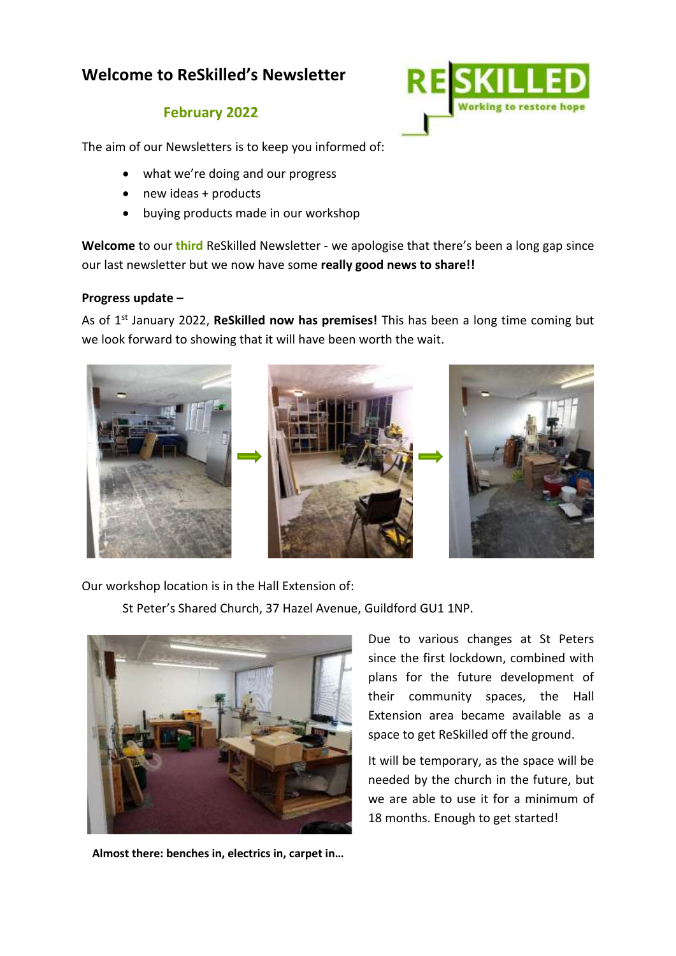# **Welcome to ReSkilled's Newsletter**

## **February 2022**

The aim of our Newsletters is to keep you informed of:

- what we're doing and our progress
- new ideas + products
- buying products made in our workshop

**Welcome** to our **third** ReSkilled Newsletter - we apologise that there's been a long gap since our last newsletter but we now have some **really good news to share!!**

### **Progress update –**

As of 1st January 2022, **ReSkilled now has premises!** This has been a long time coming but we look forward to showing that it will have been worth the wait.



Our workshop location is in the Hall Extension of:

St Peter's Shared Church, 37 Hazel Avenue, Guildford GU1 1NP.



**Almost there: benches in, electrics in, carpet in…**

Due to various changes at St Peters since the first lockdown, combined with plans for the future development of their community spaces, the Hall Extension area became available as a space to get ReSkilled off the ground.

It will be temporary, as the space will be needed by the church in the future, but we are able to use it for a minimum of 18 months. Enough to get started!

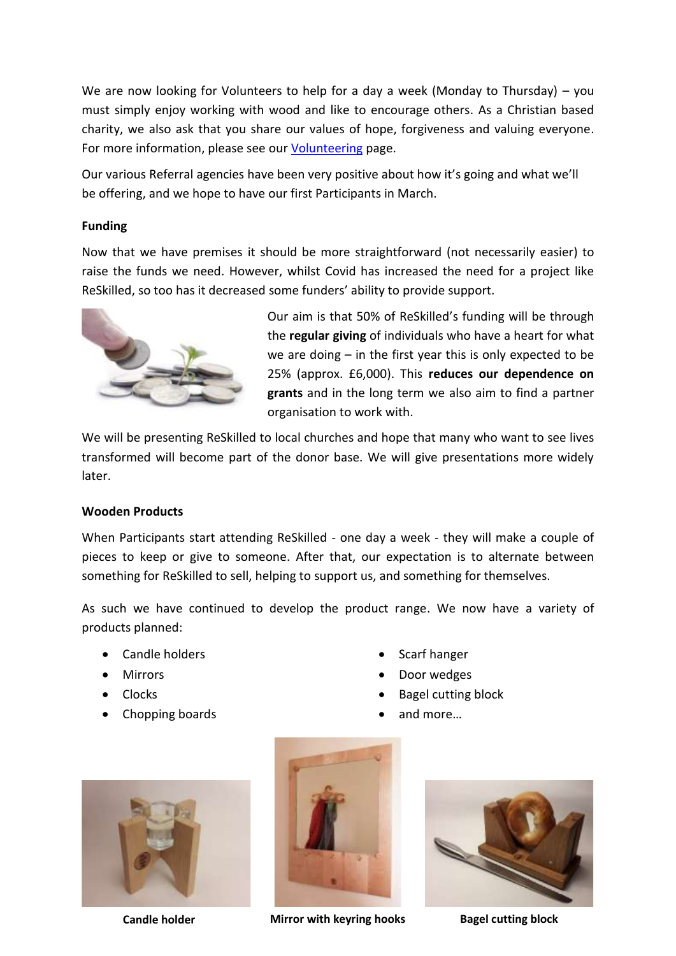We are now looking for Volunteers to help for a day a week (Monday to Thursday) – you must simply enjoy working with wood and like to encourage others. As a Christian based charity, we also ask that you share our values of hope, forgiveness and valuing everyone. For more information, please see our [Volunteering](https://reskilled.org/volunteer-at-reskilled/) page.

Our various Referral agencies have been very positive about how it's going and what we'll be offering, and we hope to have our first Participants in March.

#### **Funding**

Now that we have premises it should be more straightforward (not necessarily easier) to raise the funds we need. However, whilst Covid has increased the need for a project like ReSkilled, so too has it decreased some funders' ability to provide support.



Our aim is that 50% of ReSkilled's funding will be through the **regular giving** of individuals who have a heart for what we are doing – in the first year this is only expected to be 25% (approx. £6,000). This **reduces our dependence on grants** and in the long term we also aim to find a partner organisation to work with.

We will be presenting ReSkilled to local churches and hope that many who want to see lives transformed will become part of the donor base. We will give presentations more widely later.

#### **Wooden Products**

When Participants start attending ReSkilled - one day a week - they will make a couple of pieces to keep or give to someone. After that, our expectation is to alternate between something for ReSkilled to sell, helping to support us, and something for themselves.

As such we have continued to develop the product range. We now have a variety of products planned:

- Candle holders
- Mirrors
- Clocks
- Chopping boards
- Scarf hanger
- Door wedges
- Bagel cutting block
- and more…





**Candle holder Mirror with keyring hooks Bagel cutting block**